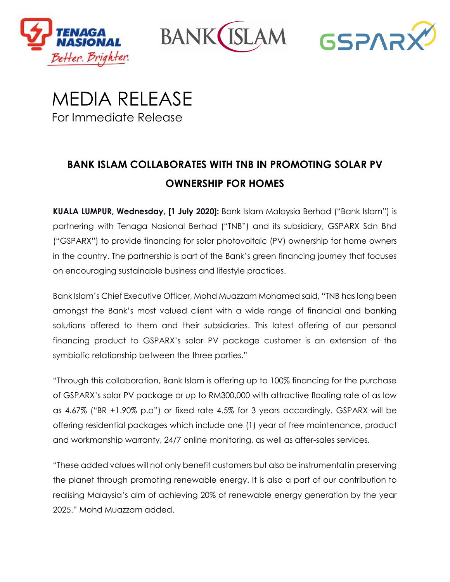

**BANK(** 



MEDIA RELEASE For Immediate Release

# **BANK ISLAM COLLABORATES WITH TNB IN PROMOTING SOLAR PV OWNERSHIP FOR HOMES**

**KUALA LUMPUR, Wednesday, [1 July 2020]:** Bank Islam Malaysia Berhad ("Bank Islam") is partnering with Tenaga Nasional Berhad ("TNB") and its subsidiary, GSPARX Sdn Bhd ("GSPARX") to provide financing for solar photovoltaic (PV) ownership for home owners in the country. The partnership is part of the Bank's green financing journey that focuses on encouraging sustainable business and lifestyle practices.

Bank Islam's Chief Executive Officer, Mohd Muazzam Mohamed said, "TNB has long been amongst the Bank's most valued client with a wide range of financial and banking solutions offered to them and their subsidiaries. This latest offering of our personal financing product to GSPARX's solar PV package customer is an extension of the symbiotic relationship between the three parties."

"Through this collaboration, Bank Islam is offering up to 100% financing for the purchase of GSPARX's solar PV package or up to RM300,000 with attractive floating rate of as low as 4.67% ("BR +1.90% p.a") or fixed rate 4.5% for 3 years accordingly. GSPARX will be offering residential packages which include one (1) year of free maintenance, product and workmanship warranty, 24/7 online monitoring, as well as after-sales services.

"These added values will not only benefit customers but also be instrumental in preserving the planet through promoting renewable energy. It is also a part of our contribution to realising Malaysia's aim of achieving 20% of renewable energy generation by the year 2025." Mohd Muazzam added.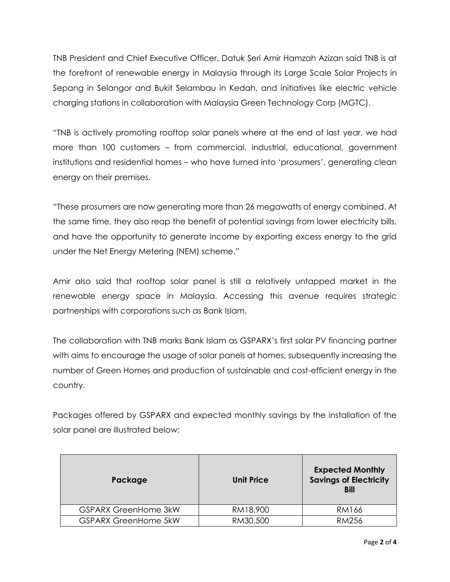TNB President and Chief Executive Officer, Datuk Seri Amir Hamzah Azizan said TNB is at the forefront of renewable energy in Malaysia through its Large Scale Solar Projects in Sepang in Selangor and Bukit Selambau in Kedah, and initiatives like electric vehicle charging stations in collaboration with Malaysia Green Technology Corp (MGTC).

"TNB is actively promoting rooftop solar panels where at the end of last year, we had more than 100 customers – from commercial, industrial, educational, government institutions and residential homes – who have turned into 'prosumers', generating clean energy on their premises.

"These prosumers are now generating more than 26 megawatts of energy combined. At the same time, they also reap the benefit of potential savings from lower electricity bills, and have the opportunity to generate income by exporting excess energy to the grid under the Net Energy Metering (NEM) scheme."

Amir also said that rooftop solar panel is still a relatively untapped market in the renewable energy space in Malaysia. Accessing this avenue requires strategic partnerships with corporations such as Bank Islam.

The collaboration with TNB marks Bank Islam as GSPARX's first solar PV financing partner with aims to encourage the usage of solar panels at homes, subsequently increasing the number of Green Homes and production of sustainable and cost-efficient energy in the country.

Packages offered by GSPARX and expected monthly savings by the installation of the solar panel are illustrated below:

| Package                     | <b>Unit Price</b> | <b>Expected Monthly</b><br><b>Savings of Electricity</b><br><b>Bill</b> |
|-----------------------------|-------------------|-------------------------------------------------------------------------|
| <b>GSPARX GreenHome 3kW</b> | RM18,900          | RM166                                                                   |
| <b>GSPARX GreenHome 5kW</b> | RM30,500          | <b>RM256</b>                                                            |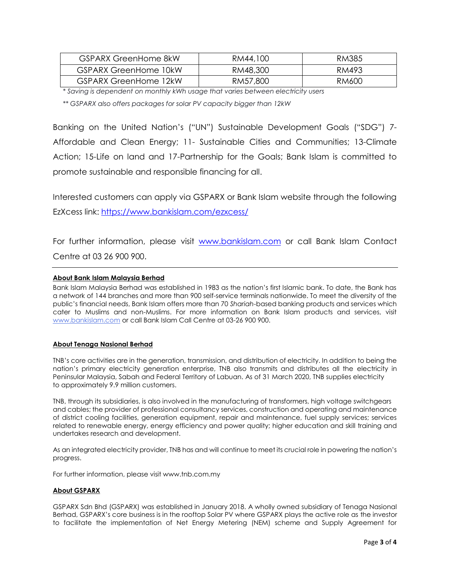| <b>GSPARX GreenHome 8kW</b>  | RM44,100 | RM385 |
|------------------------------|----------|-------|
| <b>GSPARX GreenHome 10kW</b> | RM48,300 | RM493 |
| GSPARX GreenHome 12kW        | RM57,800 | RM600 |

*\* Saving is dependent on monthly kWh usage that varies between electricity users*

*\*\* GSPARX also offers packages for solar PV capacity bigger than 12kW*

Banking on the United Nation's ("UN") Sustainable Development Goals ("SDG") 7- Affordable and Clean Energy; 11- Sustainable Cities and Communities; 13-Climate Action; 15-Life on land and 17-Partnership for the Goals; Bank Islam is committed to promote sustainable and responsible financing for all.

Interested customers can apply via GSPARX or Bank Islam website through the following EzXcess link: <https://www.bankislam.com/ezxcess/>

For further information, please visit [www.bankislam.com](http://www.bankislam.com/) or call Bank Islam Contact Centre at 03 26 900 900.

## **About Bank Islam Malaysia Berhad**

Bank Islam Malaysia Berhad was established in 1983 as the nation's first Islamic bank. To date, the Bank has a network of 144 branches and more than 900 self-service terminals nationwide. To meet the diversity of the public's financial needs, Bank Islam offers more than 70 *Shariah*-based banking products and services which cater to Muslims and non-Muslims. For more information on Bank Islam products and services, visit [www.bankislam.com](http://www.bankislam.com/) or call Bank Islam Call Centre at 03-26 900 900.

### **About Tenaga Nasional Berhad**

TNB's core activities are in the generation, transmission, and distribution of electricity. In addition to being the nation's primary electricity generation enterprise, TNB also transmits and distributes all the electricity in Peninsular Malaysia, Sabah and Federal Territory of Labuan. As of 31 March 2020, TNB supplies electricity to approximately 9.9 million customers.

TNB, through its subsidiaries, is also involved in the manufacturing of transformers, high voltage switchgears and cables; the provider of professional consultancy services, construction and operating and maintenance of district cooling facilities, generation equipment, repair and maintenance, fuel supply services; services related to renewable energy, energy efficiency and power quality; higher education and skill training and undertakes research and development.

As an integrated electricity provider, TNB has and will continue to meet its crucial role in powering the nation's progress.

For further information, please visit www.tnb.com.my

### **About GSPARX**

GSPARX Sdn Bhd (GSPARX) was established in January 2018. A wholly owned subsidiary of Tenaga Nasional Berhad, GSPARX's core business is in the rooftop Solar PV where GSPARX plays the active role as the investor to facilitate the implementation of Net Energy Metering (NEM) scheme and Supply Agreement for